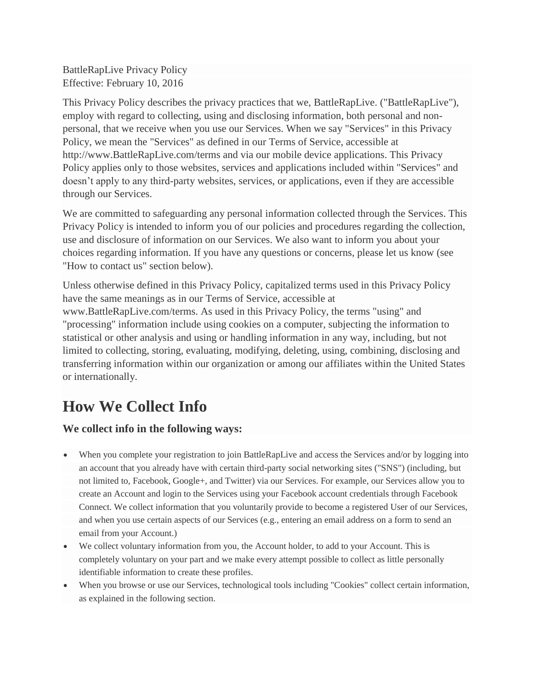BattleRapLive Privacy Policy Effective: February 10, 2016

This Privacy Policy describes the privacy practices that we, BattleRapLive. ("BattleRapLive"), employ with regard to collecting, using and disclosing information, both personal and nonpersonal, that we receive when you use our Services. When we say "Services" in this Privacy Policy, we mean the "Services" as defined in our Terms of Service, accessible at http://www.BattleRapLive.com/terms and via our mobile device applications. This Privacy Policy applies only to those websites, services and applications included within "Services" and doesn't apply to any third-party websites, services, or applications, even if they are accessible through our Services.

We are committed to safeguarding any personal information collected through the Services. This Privacy Policy is intended to inform you of our policies and procedures regarding the collection, use and disclosure of information on our Services. We also want to inform you about your choices regarding information. If you have any questions or concerns, please let us know (see "How to contact us" section below).

Unless otherwise defined in this Privacy Policy, capitalized terms used in this Privacy Policy have the same meanings as in our Terms of Service, accessible at www.BattleRapLive.com/terms. As used in this Privacy Policy, the terms "using" and "processing" information include using cookies on a computer, subjecting the information to statistical or other analysis and using or handling information in any way, including, but not limited to collecting, storing, evaluating, modifying, deleting, using, combining, disclosing and transferring information within our organization or among our affiliates within the United States or internationally.

## **How We Collect Info**

#### **We collect info in the following ways:**

- When you complete your registration to join BattleRapLive and access the Services and/or by logging into an account that you already have with certain third-party social networking sites ("SNS") (including, but not limited to, Facebook, Google+, and Twitter) via our Services. For example, our Services allow you to create an Account and login to the Services using your Facebook account credentials through Facebook Connect. We collect information that you voluntarily provide to become a registered User of our Services, and when you use certain aspects of our Services (e.g., entering an email address on a form to send an email from your Account.)
- We collect voluntary information from you, the Account holder, to add to your Account. This is completely voluntary on your part and we make every attempt possible to collect as little personally identifiable information to create these profiles.
- When you browse or use our Services, technological tools including "Cookies" collect certain information, as explained in the following section.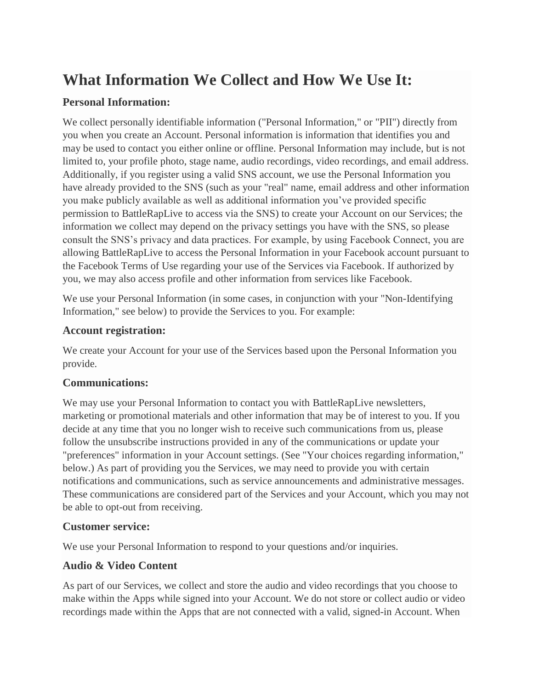### **What Information We Collect and How We Use It:**

#### **Personal Information:**

We collect personally identifiable information ("Personal Information," or "PII") directly from you when you create an Account. Personal information is information that identifies you and may be used to contact you either online or offline. Personal Information may include, but is not limited to, your profile photo, stage name, audio recordings, video recordings, and email address. Additionally, if you register using a valid SNS account, we use the Personal Information you have already provided to the SNS (such as your "real" name, email address and other information you make publicly available as well as additional information you've provided specific permission to BattleRapLive to access via the SNS) to create your Account on our Services; the information we collect may depend on the privacy settings you have with the SNS, so please consult the SNS's privacy and data practices. For example, by using Facebook Connect, you are allowing BattleRapLive to access the Personal Information in your Facebook account pursuant to the Facebook Terms of Use regarding your use of the Services via Facebook. If authorized by you, we may also access profile and other information from services like Facebook.

We use your Personal Information (in some cases, in conjunction with your "Non-Identifying Information," see below) to provide the Services to you. For example:

#### **Account registration:**

We create your Account for your use of the Services based upon the Personal Information you provide.

#### **Communications:**

We may use your Personal Information to contact you with BattleRapLive newsletters, marketing or promotional materials and other information that may be of interest to you. If you decide at any time that you no longer wish to receive such communications from us, please follow the unsubscribe instructions provided in any of the communications or update your "preferences" information in your Account settings. (See "Your choices regarding information," below.) As part of providing you the Services, we may need to provide you with certain notifications and communications, such as service announcements and administrative messages. These communications are considered part of the Services and your Account, which you may not be able to opt-out from receiving.

#### **Customer service:**

We use your Personal Information to respond to your questions and/or inquiries.

#### **Audio & Video Content**

As part of our Services, we collect and store the audio and video recordings that you choose to make within the Apps while signed into your Account. We do not store or collect audio or video recordings made within the Apps that are not connected with a valid, signed-in Account. When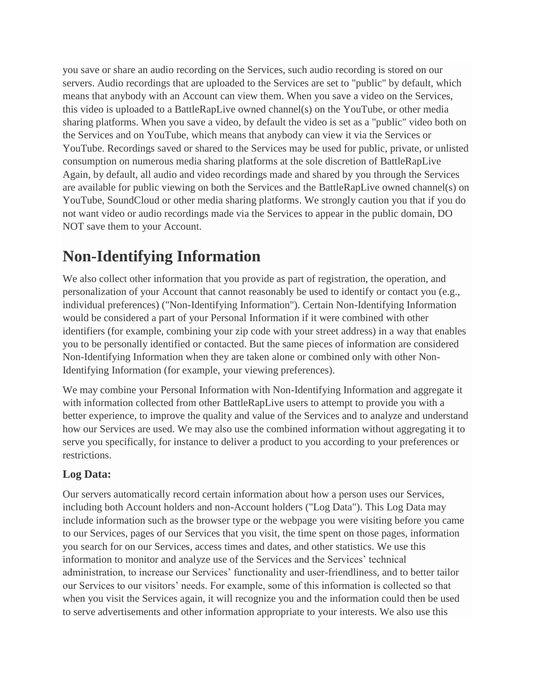you save or share an audio recording on the Services, such audio recording is stored on our servers. Audio recordings that are uploaded to the Services are set to "public" by default, which means that anybody with an Account can view them. When you save a video on the Services, this video is uploaded to a BattleRapLive owned channel(s) on the YouTube, or other media sharing platforms. When you save a video, by default the video is set as a "public" video both on the Services and on YouTube, which means that anybody can view it via the Services or YouTube. Recordings saved or shared to the Services may be used for public, private, or unlisted consumption on numerous media sharing platforms at the sole discretion of BattleRapLive Again, by default, all audio and video recordings made and shared by you through the Services are available for public viewing on both the Services and the BattleRapLive owned channel(s) on YouTube, SoundCloud or other media sharing platforms. We strongly caution you that if you do not want video or audio recordings made via the Services to appear in the public domain, DO NOT save them to your Account.

## **Non-Identifying Information**

We also collect other information that you provide as part of registration, the operation, and personalization of your Account that cannot reasonably be used to identify or contact you (e.g., individual preferences) ("Non-Identifying Information"). Certain Non-Identifying Information would be considered a part of your Personal Information if it were combined with other identifiers (for example, combining your zip code with your street address) in a way that enables you to be personally identified or contacted. But the same pieces of information are considered Non-Identifying Information when they are taken alone or combined only with other Non-Identifying Information (for example, your viewing preferences).

We may combine your Personal Information with Non-Identifying Information and aggregate it with information collected from other BattleRapLive users to attempt to provide you with a better experience, to improve the quality and value of the Services and to analyze and understand how our Services are used. We may also use the combined information without aggregating it to serve you specifically, for instance to deliver a product to you according to your preferences or restrictions.

#### **Log Data:**

Our servers automatically record certain information about how a person uses our Services, including both Account holders and non-Account holders ("Log Data"). This Log Data may include information such as the browser type or the webpage you were visiting before you came to our Services, pages of our Services that you visit, the time spent on those pages, information you search for on our Services, access times and dates, and other statistics. We use this information to monitor and analyze use of the Services and the Services' technical administration, to increase our Services' functionality and user-friendliness, and to better tailor our Services to our visitors' needs. For example, some of this information is collected so that when you visit the Services again, it will recognize you and the information could then be used to serve advertisements and other information appropriate to your interests. We also use this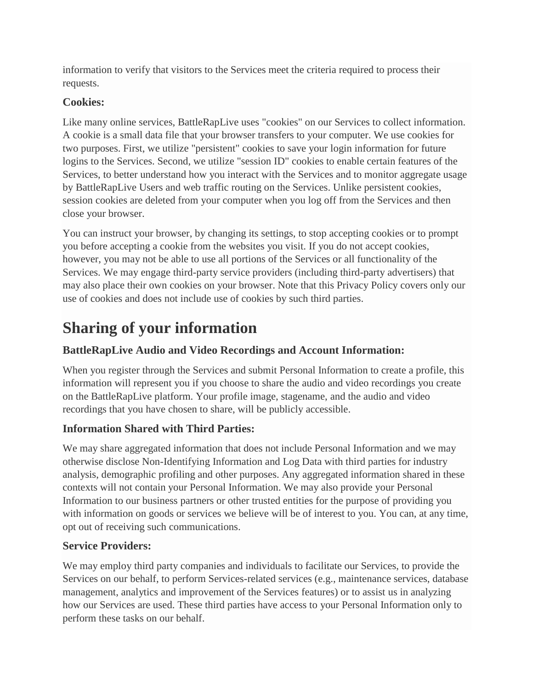information to verify that visitors to the Services meet the criteria required to process their requests.

#### **Cookies:**

Like many online services, BattleRapLive uses "cookies" on our Services to collect information. A cookie is a small data file that your browser transfers to your computer. We use cookies for two purposes. First, we utilize "persistent" cookies to save your login information for future logins to the Services. Second, we utilize "session ID" cookies to enable certain features of the Services, to better understand how you interact with the Services and to monitor aggregate usage by BattleRapLive Users and web traffic routing on the Services. Unlike persistent cookies, session cookies are deleted from your computer when you log off from the Services and then close your browser.

You can instruct your browser, by changing its settings, to stop accepting cookies or to prompt you before accepting a cookie from the websites you visit. If you do not accept cookies, however, you may not be able to use all portions of the Services or all functionality of the Services. We may engage third-party service providers (including third-party advertisers) that may also place their own cookies on your browser. Note that this Privacy Policy covers only our use of cookies and does not include use of cookies by such third parties.

## **Sharing of your information**

#### **BattleRapLive Audio and Video Recordings and Account Information:**

When you register through the Services and submit Personal Information to create a profile, this information will represent you if you choose to share the audio and video recordings you create on the BattleRapLive platform. Your profile image, stagename, and the audio and video recordings that you have chosen to share, will be publicly accessible.

#### **Information Shared with Third Parties:**

We may share aggregated information that does not include Personal Information and we may otherwise disclose Non-Identifying Information and Log Data with third parties for industry analysis, demographic profiling and other purposes. Any aggregated information shared in these contexts will not contain your Personal Information. We may also provide your Personal Information to our business partners or other trusted entities for the purpose of providing you with information on goods or services we believe will be of interest to you. You can, at any time, opt out of receiving such communications.

#### **Service Providers:**

We may employ third party companies and individuals to facilitate our Services, to provide the Services on our behalf, to perform Services-related services (e.g., maintenance services, database management, analytics and improvement of the Services features) or to assist us in analyzing how our Services are used. These third parties have access to your Personal Information only to perform these tasks on our behalf.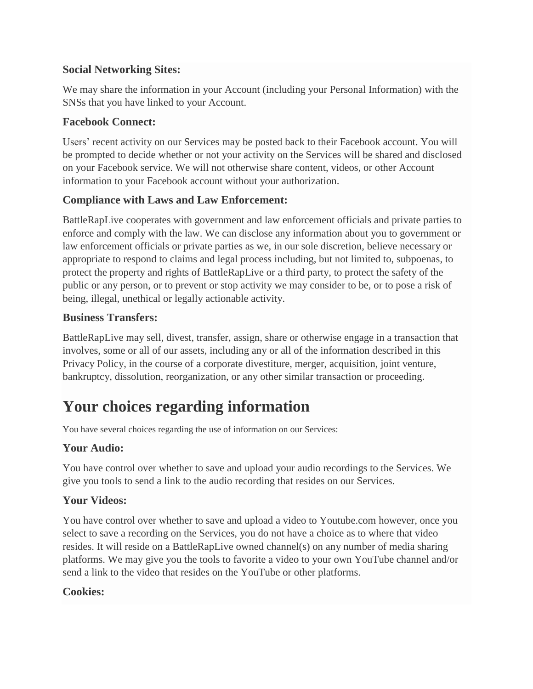#### **Social Networking Sites:**

We may share the information in your Account (including your Personal Information) with the SNSs that you have linked to your Account.

#### **Facebook Connect:**

Users' recent activity on our Services may be posted back to their Facebook account. You will be prompted to decide whether or not your activity on the Services will be shared and disclosed on your Facebook service. We will not otherwise share content, videos, or other Account information to your Facebook account without your authorization.

#### **Compliance with Laws and Law Enforcement:**

BattleRapLive cooperates with government and law enforcement officials and private parties to enforce and comply with the law. We can disclose any information about you to government or law enforcement officials or private parties as we, in our sole discretion, believe necessary or appropriate to respond to claims and legal process including, but not limited to, subpoenas, to protect the property and rights of BattleRapLive or a third party, to protect the safety of the public or any person, or to prevent or stop activity we may consider to be, or to pose a risk of being, illegal, unethical or legally actionable activity.

#### **Business Transfers:**

BattleRapLive may sell, divest, transfer, assign, share or otherwise engage in a transaction that involves, some or all of our assets, including any or all of the information described in this Privacy Policy, in the course of a corporate divestiture, merger, acquisition, joint venture, bankruptcy, dissolution, reorganization, or any other similar transaction or proceeding.

### **Your choices regarding information**

You have several choices regarding the use of information on our Services:

#### **Your Audio:**

You have control over whether to save and upload your audio recordings to the Services. We give you tools to send a link to the audio recording that resides on our Services.

#### **Your Videos:**

You have control over whether to save and upload a video to Youtube.com however, once you select to save a recording on the Services, you do not have a choice as to where that video resides. It will reside on a BattleRapLive owned channel(s) on any number of media sharing platforms. We may give you the tools to favorite a video to your own YouTube channel and/or send a link to the video that resides on the YouTube or other platforms.

#### **Cookies:**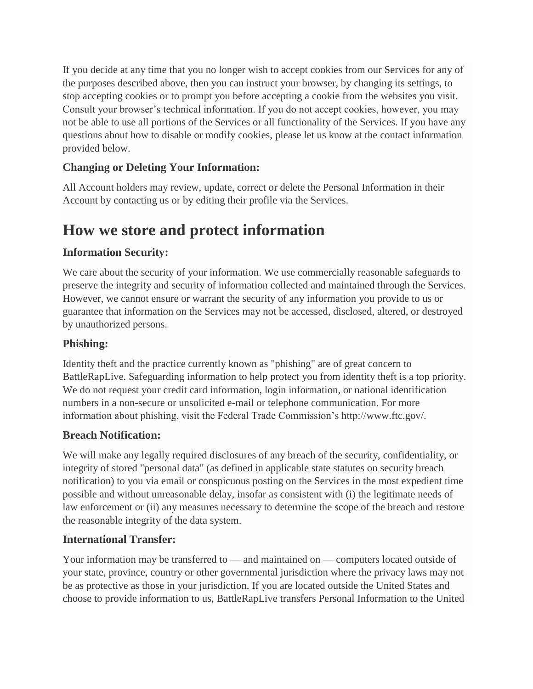If you decide at any time that you no longer wish to accept cookies from our Services for any of the purposes described above, then you can instruct your browser, by changing its settings, to stop accepting cookies or to prompt you before accepting a cookie from the websites you visit. Consult your browser's technical information. If you do not accept cookies, however, you may not be able to use all portions of the Services or all functionality of the Services. If you have any questions about how to disable or modify cookies, please let us know at the contact information provided below.

#### **Changing or Deleting Your Information:**

All Account holders may review, update, correct or delete the Personal Information in their Account by contacting us or by editing their profile via the Services.

### **How we store and protect information**

#### **Information Security:**

We care about the security of your information. We use commercially reasonable safeguards to preserve the integrity and security of information collected and maintained through the Services. However, we cannot ensure or warrant the security of any information you provide to us or guarantee that information on the Services may not be accessed, disclosed, altered, or destroyed by unauthorized persons.

#### **Phishing:**

Identity theft and the practice currently known as "phishing" are of great concern to BattleRapLive. Safeguarding information to help protect you from identity theft is a top priority. We do not request your credit card information, login information, or national identification numbers in a non-secure or unsolicited e-mail or telephone communication. For more information about phishing, visit the Federal Trade Commission's http://www.ftc.gov/.

#### **Breach Notification:**

We will make any legally required disclosures of any breach of the security, confidentiality, or integrity of stored "personal data" (as defined in applicable state statutes on security breach notification) to you via email or conspicuous posting on the Services in the most expedient time possible and without unreasonable delay, insofar as consistent with (i) the legitimate needs of law enforcement or (ii) any measures necessary to determine the scope of the breach and restore the reasonable integrity of the data system.

#### **International Transfer:**

Your information may be transferred to — and maintained on — computers located outside of your state, province, country or other governmental jurisdiction where the privacy laws may not be as protective as those in your jurisdiction. If you are located outside the United States and choose to provide information to us, BattleRapLive transfers Personal Information to the United